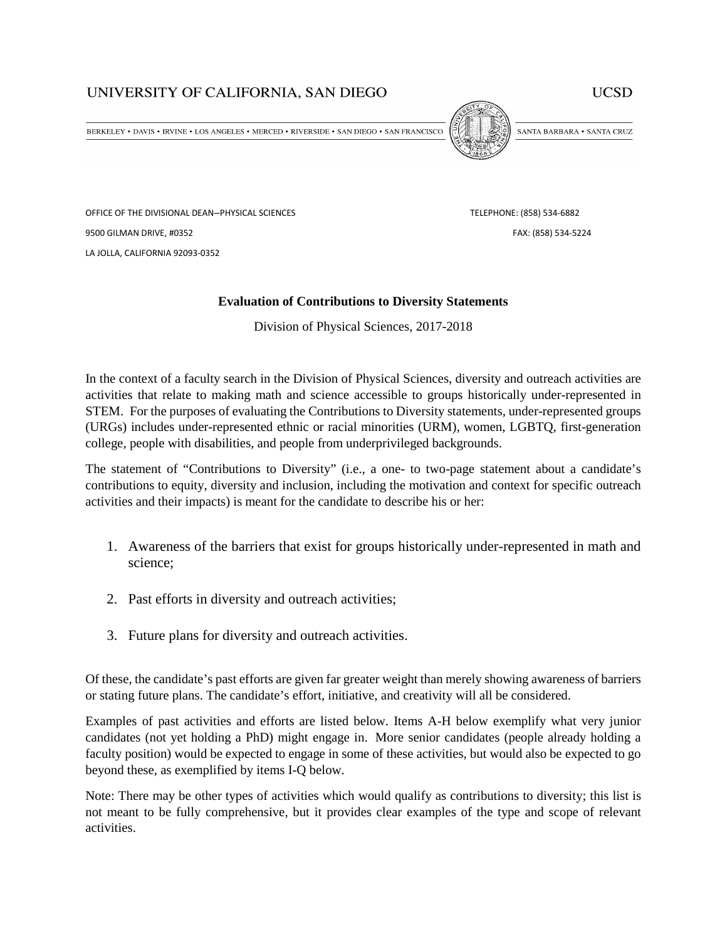## UNIVERSITY OF CALIFORNIA, SAN DIEGO

**UCSD** 

BERKELEY • DAVIS • IRVINE • LOS ANGELES • MERCED • RIVERSIDE • SAN DIEGO • SAN FRANCISCO



SANTA BARBARA . SANTA CRUZ

OFFICE OF THE DIVISIONAL DEAN-PHYSICAL SCIENCES TELEPHONE: (858) 534-6882 9500 GILMAN DRIVE, #0352 FAX: (858) 534-5224 LA JOLLA, CALIFORNIA 92093-0352

## **Evaluation of Contributions to Diversity Statements**

Division of Physical Sciences, 2017-2018

In the context of a faculty search in the Division of Physical Sciences, diversity and outreach activities are activities that relate to making math and science accessible to groups historically under-represented in STEM. For the purposes of evaluating the Contributions to Diversity statements, under-represented groups (URGs) includes under-represented ethnic or racial minorities (URM), women, LGBTQ, first-generation college, people with disabilities, and people from underprivileged backgrounds.

The statement of "Contributions to Diversity" (i.e., a one- to two-page statement about a candidate's contributions to equity, diversity and inclusion, including the motivation and context for specific outreach activities and their impacts) is meant for the candidate to describe his or her:

- 1. Awareness of the barriers that exist for groups historically under-represented in math and science;
- 2. Past efforts in diversity and outreach activities;
- 3. Future plans for diversity and outreach activities.

Of these, the candidate's past efforts are given far greater weight than merely showing awareness of barriers or stating future plans. The candidate's effort, initiative, and creativity will all be considered.

Examples of past activities and efforts are listed below. Items A-H below exemplify what very junior candidates (not yet holding a PhD) might engage in. More senior candidates (people already holding a faculty position) would be expected to engage in some of these activities, but would also be expected to go beyond these, as exemplified by items I-Q below.

Note: There may be other types of activities which would qualify as contributions to diversity; this list is not meant to be fully comprehensive, but it provides clear examples of the type and scope of relevant activities.